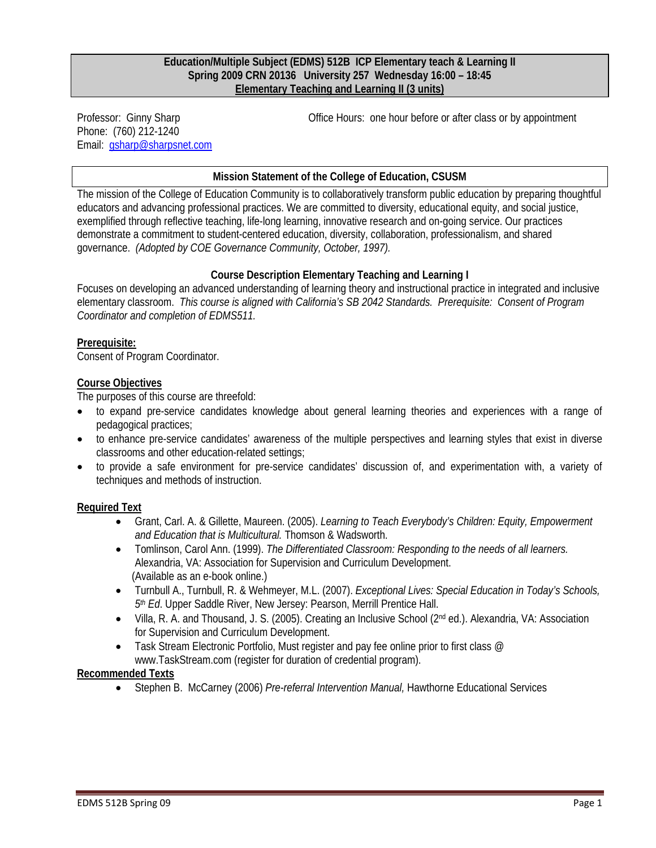#### **Education/Multiple Subject (EDMS) 512B ICP Elementary teach & Learning II Spring 2009 CRN 20136 University 257 Wednesday 16:00 – 18:45 Elementary Teaching and Learning II (3 units)**

Phone: (760) 212-1240 Email: gsharp@sharpsnet.com

Professor: Ginny Sharp **Community Community** Office Hours: one hour before or after class or by appointment

# **Mission Statement of the College of Education, CSUSM**

The mission of the College of Education Community is to collaboratively transform public education by preparing thoughtful educators and advancing professional practices. We are committed to diversity, educational equity, and social justice, exemplified through reflective teaching, life-long learning, innovative research and on-going service. Our practices demonstrate a commitment to student-centered education, diversity, collaboration, professionalism, and shared governance. *(Adopted by COE Governance Community, October, 1997).* 

# **Course Description Elementary Teaching and Learning I**

Focuses on developing an advanced understanding of learning theory and instructional practice in integrated and inclusive elementary classroom. *This course is aligned with California's SB 2042 Standards. Prerequisite: Consent of Program Coordinator and completion of EDMS511.* 

#### **Prerequisite:**

Consent of Program Coordinator.

#### **Course Objectives**

The purposes of this course are threefold:

- • to expand pre-service candidates knowledge about general learning theories and experiences with a range of pedagogical practices;
- to enhance pre-service candidates' awareness of the multiple perspectives and learning styles that exist in diverse classrooms and other education-related settings;
- to provide a safe environment for pre-service candidates' discussion of, and experimentation with, a variety of techniques and methods of instruction.

# **Required Text**

- • Grant, Carl. A. & Gillette, Maureen. (2005). *Learning to Teach Everybody's Children: Equity, Empowerment and Education that is Multicultural.* Thomson & Wadsworth.
- • Tomlinson, Carol Ann. (1999). *The Differentiated Classroom: Responding to the needs of all learners.*  Alexandria, VA: Association for Supervision and Curriculum Development. (Available as an e-book online.)
- • Turnbull A., Turnbull, R. & Wehmeyer, M.L. (2007). *Exceptional Lives: Special Education in Today's Schools, 5th Ed*. Upper Saddle River, New Jersey: Pearson, Merrill Prentice Hall.
- Villa, R. A. and Thousand, J. S. (2005). Creating an Inclusive School (2<sup>nd</sup> ed.). Alexandria, VA: Association for Supervision and Curriculum Development.
- Task Stream Electronic Portfolio, Must register and pay fee online prior to first class  $@$ www.TaskStream.com (register for duration of credential program).

#### **Recommended Texts**

• Stephen B. McCarney (2006) *Pre-referral Intervention Manual,* Hawthorne Educational Services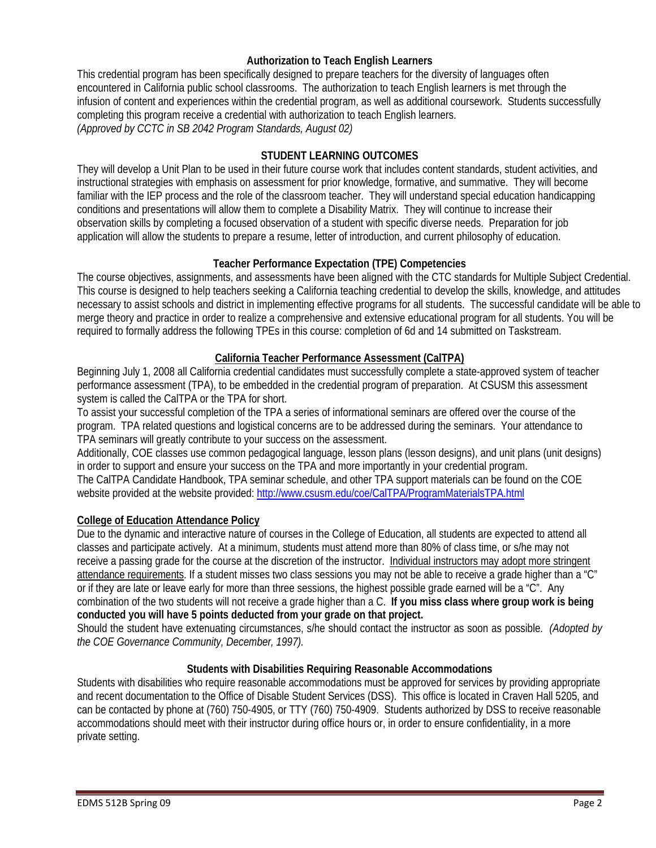# **Authorization to Teach English Learners**

This credential program has been specifically designed to prepare teachers for the diversity of languages often encountered in California public school classrooms. The authorization to teach English learners is met through the infusion of content and experiences within the credential program, as well as additional coursework. Students successfully completing this program receive a credential with authorization to teach English learners. *(Approved by CCTC in SB 2042 Program Standards, August 02)* 

# **STUDENT LEARNING OUTCOMES**

 instructional strategies with emphasis on assessment for prior knowledge, formative, and summative. They will become They will develop a Unit Plan to be used in their future course work that includes content standards, student activities, and familiar with the IEP process and the role of the classroom teacher. They will understand special education handicapping conditions and presentations will allow them to complete a Disability Matrix. They will continue to increase their observation skills by completing a focused observation of a student with specific diverse needs. Preparation for job application will allow the students to prepare a resume, letter of introduction, and current philosophy of education.

#### **Teacher Performance Expectation (TPE) Competencies**

The course objectives, assignments, and assessments have been aligned with the CTC standards for Multiple Subject Credential. This course is designed to help teachers seeking a California teaching credential to develop the skills, knowledge, and attitudes necessary to assist schools and district in implementing effective programs for all students. The successful candidate will be able to merge theory and practice in order to realize a comprehensive and extensive educational program for all students. You will be required to formally address the following TPEs in this course: completion of 6d and 14 submitted on Taskstream.

# **California Teacher Performance Assessment (CalTPA)**

Beginning July 1, 2008 all California credential candidates must successfully complete a state-approved system of teacher performance assessment (TPA), to be embedded in the credential program of preparation. At CSUSM this assessment system is called the CalTPA or the TPA for short.

To assist your successful completion of the TPA a series of informational seminars are offered over the course of the program. TPA related questions and logistical concerns are to be addressed during the seminars. Your attendance to TPA seminars will greatly contribute to your success on the assessment.

website provided at the website provided: http://www.csusm.edu/coe/CalTPA/ProgramMaterialsTPA.html Additionally, COE classes use common pedagogical language, lesson plans (lesson designs), and unit plans (unit designs) in order to support and ensure your success on the TPA and more importantly in your credential program. The CalTPA Candidate Handbook, TPA seminar schedule, and other TPA support materials can be found on the COE

#### **College of Education Attendance Policy**

Due to the dynamic and interactive nature of courses in the College of Education, all students are expected to attend all classes and participate actively. At a minimum, students must attend more than 80% of class time, or s/he may not receive a passing grade for the course at the discretion of the instructor. Individual instructors may adopt more stringent attendance requirements. If a student misses two class sessions you may not be able to receive a grade higher than a "C" or if they are late or leave early for more than three sessions, the highest possible grade earned will be a "C". Any combination of the two students will not receive a grade higher than a C. **If you miss class where group work is being conducted you will have 5 points deducted from your grade on that project.** 

 *the COE Governance Community, December, 1997).* Should the student have extenuating circumstances, s/he should contact the instructor as soon as possible. *(Adopted by* 

#### **Students with Disabilities Requiring Reasonable Accommodations**

Students with disabilities who require reasonable accommodations must be approved for services by providing appropriate and recent documentation to the Office of Disable Student Services (DSS). This office is located in Craven Hall 5205, and can be contacted by phone at (760) 750-4905, or TTY (760) 750-4909. Students authorized by DSS to receive reasonable accommodations should meet with their instructor during office hours or, in order to ensure confidentiality, in a more private setting.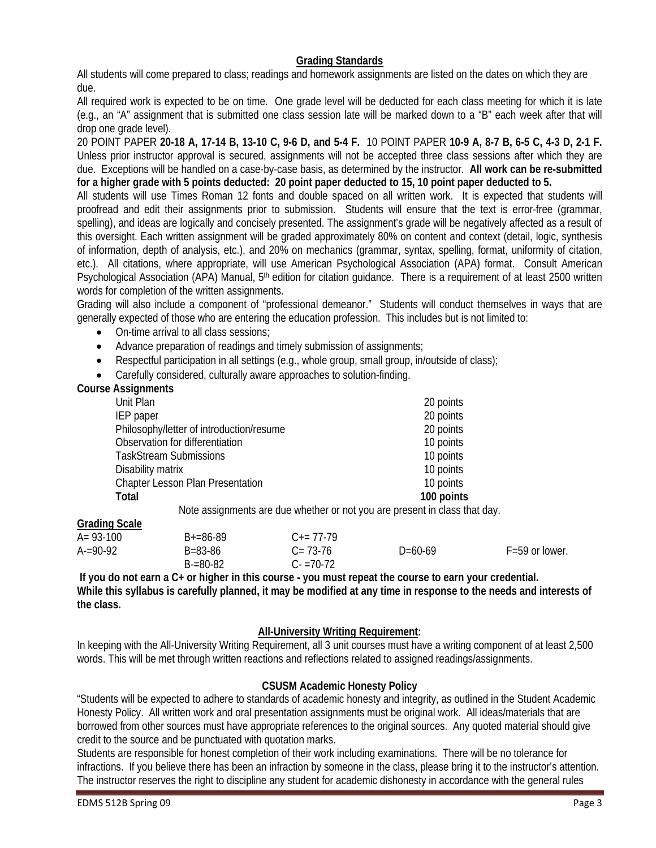# **Grading Standards**

 All students will come prepared to class; readings and homework assignments are listed on the dates on which they are due.

All required work is expected to be on time. One grade level will be deducted for each class meeting for which it is late (e.g., an "A" assignment that is submitted one class session late will be marked down to a "B" each week after that will drop one grade level).

 due. Exceptions will be handled on a case-by-case basis, as determined by the instructor. **All work can be re-submitted**  20 POINT PAPER **20-18 A, 17-14 B, 13-10 C, 9-6 D, and 5-4 F.** 10 POINT PAPER **10-9 A, 8-7 B, 6-5 C, 4-3 D, 2-1 F.**  Unless prior instructor approval is secured, assignments will not be accepted three class sessions after which they are **for a higher grade with 5 points deducted: 20 point paper deducted to 15, 10 point paper deducted to 5.** 

Psychological Association (APA) Manual, 5<sup>th</sup> edition for citation guidance. There is a requirement of at least 2500 written All students will use Times Roman 12 fonts and double spaced on all written work. It is expected that students will proofread and edit their assignments prior to submission. Students will ensure that the text is error-free (grammar, spelling), and ideas are logically and concisely presented. The assignment's grade will be negatively affected as a result of this oversight. Each written assignment will be graded approximately 80% on content and context (detail, logic, synthesis of information, depth of analysis, etc.), and 20% on mechanics (grammar, syntax, spelling, format, uniformity of citation, etc.). All citations, where appropriate, will use American Psychological Association (APA) format. Consult American words for completion of the written assignments.

 Grading will also include a component of "professional demeanor." Students will conduct themselves in ways that are generally expected of those who are entering the education profession. This includes but is not limited to:

- On-time arrival to all class sessions;
- Advance preparation of readings and timely submission of assignments;
- Respectful participation in all settings (e.g., whole group, small group, in/outside of class);
- Carefully considered, culturally aware approaches to solution-finding.

#### **Course Assignments**

| Unit Plan                                                                  | 20 points  |
|----------------------------------------------------------------------------|------------|
| IEP paper                                                                  | 20 points  |
| Philosophy/letter of introduction/resume                                   | 20 points  |
| Observation for differentiation                                            | 10 points  |
| <b>TaskStream Submissions</b>                                              | 10 points  |
| Disability matrix                                                          | 10 points  |
| <b>Chapter Lesson Plan Presentation</b>                                    | 10 points  |
| Total                                                                      | 100 points |
| Note assignments are due whether or not you are present in class that day. |            |

 **Grading Scale** 

| $A = 93-100$ | $B+=86-89$    | $C_{\pm} = 77 - 79$ |           |                    |
|--------------|---------------|---------------------|-----------|--------------------|
| $A = 90-92$  | B=83-86       | $C = 73-76$         | $D=60-69$ | $F = 59$ or lower. |
|              | $B = 80 - 82$ | $C - 70 - 72$       |           |                    |

**If you do not earn a C+ or higher in this course - you must repeat the course to earn your credential. While this syllabus is carefully planned, it may be modified at any time in response to the needs and interests of the class.** 

# **All-University Writing Requirement:**

 words. This will be met through written reactions and reflections related to assigned readings/assignments. In keeping with the All-University Writing Requirement, all 3 unit courses must have a writing component of at least 2,500

# **CSUSM Academic Honesty Policy**

"Students will be expected to adhere to standards of academic honesty and integrity, as outlined in the Student Academic Honesty Policy. All written work and oral presentation assignments must be original work. All ideas/materials that are borrowed from other sources must have appropriate references to the original sources. Any quoted material should give credit to the source and be punctuated with quotation marks.

Students are responsible for honest completion of their work including examinations. There will be no tolerance for infractions. If you believe there has been an infraction by someone in the class, please bring it to the instructor's attention. The instructor reserves the right to discipline any student for academic dishonesty in accordance with the general rules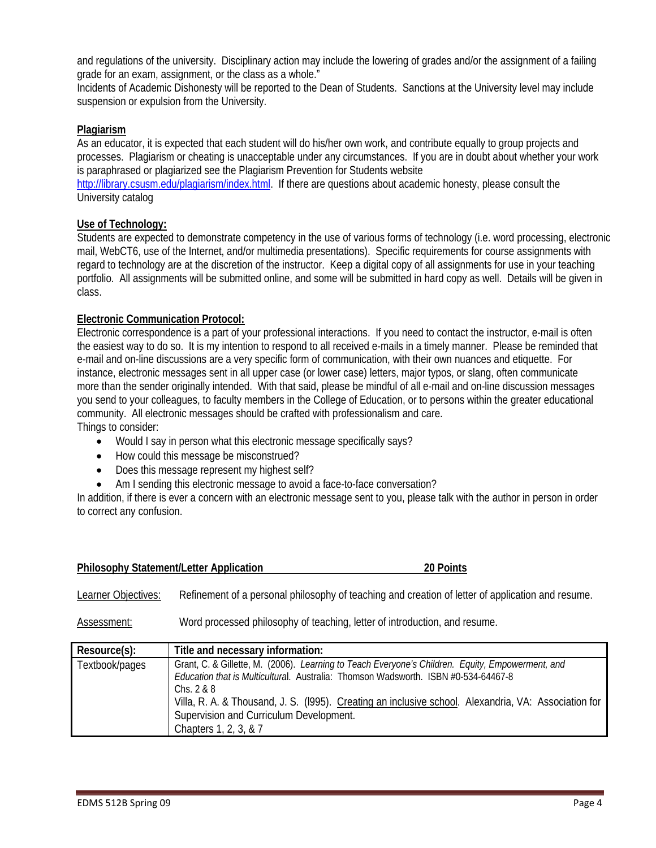and regulations of the university. Disciplinary action may include the lowering of grades and/or the assignment of a failing grade for an exam, assignment, or the class as a whole."

Incidents of Academic Dishonesty will be reported to the Dean of Students. Sanctions at the University level may include suspension or expulsion from the University.

#### **Plagiarism**

As an educator, it is expected that each student will do his/her own work, and contribute equally to group projects and processes. Plagiarism or cheating is unacceptable under any circumstances. If you are in doubt about whether your work is paraphrased or plagiarized see the Plagiarism Prevention for Students website

http://library.csusm.edu/plagiarism/index.html. If there are questions about academic honesty, please consult the University catalog

#### **Use of Technology:**

 Students are expected to demonstrate competency in the use of various forms of technology (i.e. word processing, electronic mail, WebCT6, use of the Internet, and/or multimedia presentations). Specific requirements for course assignments with regard to technology are at the discretion of the instructor. Keep a digital copy of all assignments for use in your teaching portfolio. All assignments will be submitted online, and some will be submitted in hard copy as well. Details will be given in class.

#### **Electronic Communication Protocol:**

 instance, electronic messages sent in all upper case (or lower case) letters, major typos, or slang, often communicate Electronic correspondence is a part of your professional interactions. If you need to contact the instructor, e-mail is often the easiest way to do so. It is my intention to respond to all received e-mails in a timely manner. Please be reminded that e-mail and on-line discussions are a very specific form of communication, with their own nuances and etiquette. For more than the sender originally intended. With that said, please be mindful of all e-mail and on-line discussion messages you send to your colleagues, to faculty members in the College of Education, or to persons within the greater educational community. All electronic messages should be crafted with professionalism and care. Things to consider:

- Would I say in person what this electronic message specifically says?
- How could this message be misconstrued?
- Does this message represent my highest self?
- Am I sending this electronic message to avoid a face-to-face conversation?

In addition, if there is ever a concern with an electronic message sent to you, please talk with the author in person in order to correct any confusion.

| <b>Philosophy Statement/Letter Application</b> | 20 Points |
|------------------------------------------------|-----------|
|                                                |           |

Learner Objectives: Refinement of a personal philosophy of teaching and creation of letter of application and resume.

Assessment: Word processed philosophy of teaching, letter of introduction, and resume.

| Resource(s):   | Title and necessary information:                                                                                                                                                                                                                                                                                                                                                   |
|----------------|------------------------------------------------------------------------------------------------------------------------------------------------------------------------------------------------------------------------------------------------------------------------------------------------------------------------------------------------------------------------------------|
| Textbook/pages | Grant, C. & Gillette, M. (2006). Learning to Teach Everyone's Children. Equity, Empowerment, and<br>Education that is Multicultural. Australia: Thomson Wadsworth. ISBN #0-534-64467-8<br>Chs. $2 & 8$<br>Villa, R. A. & Thousand, J. S. (1995). Creating an inclusive school. Alexandria, VA: Association for<br>Supervision and Curriculum Development.<br>Chapters 1, 2, 3, & 7 |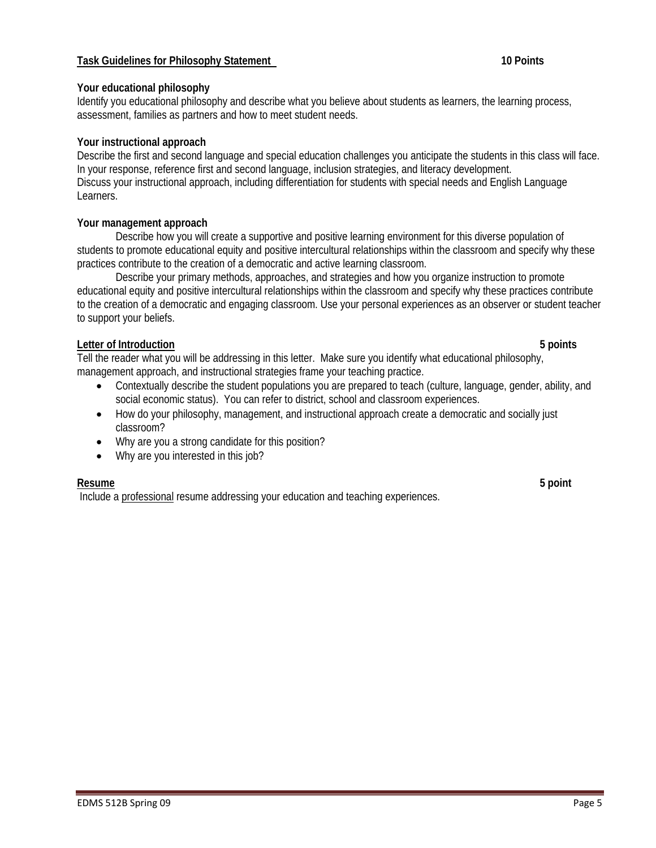# **Task Guidelines for Philosophy Statement**

#### **Your educational philosophy**

Identify you educational philosophy and describe what you believe about students as learners, the learning process, assessment, families as partners and how to meet student needs.

#### **Your instructional approach**

Describe the first and second language and special education challenges you anticipate the students in this class will face. In your response, reference first and second language, inclusion strategies, and literacy development. Discuss your instructional approach, including differentiation for students with special needs and English Language Learners.

#### **Your management approach**

Describe how you will create a supportive and positive learning environment for this diverse population of students to promote educational equity and positive intercultural relationships within the classroom and specify why these practices contribute to the creation of a democratic and active learning classroom.

Describe your primary methods, approaches, and strategies and how you organize instruction to promote educational equity and positive intercultural relationships within the classroom and specify why these practices contribute to the creation of a democratic and engaging classroom. Use your personal experiences as an observer or student teacher to support your beliefs.

#### **Letter of Introduction 5 points**

Tell the reader what you will be addressing in this letter. Make sure you identify what educational philosophy, management approach, and instructional strategies frame your teaching practice.

- Contextually describe the student populations you are prepared to teach (culture, language, gender, ability, and social economic status). You can refer to district, school and classroom experiences.
- How do your philosophy, management, and instructional approach create a democratic and socially just classroom?
- Why are you a strong candidate for this position?
- Why are you interested in this job?

#### **Resume Resume 5 point**

Include a professional resume addressing your education and teaching experiences.

10 Points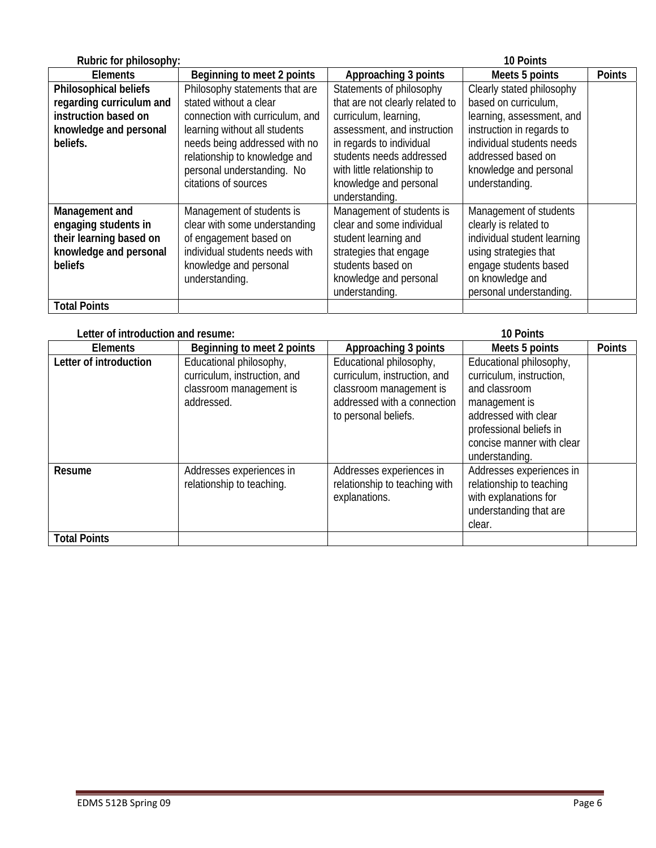| Rubric for philosophy:   |                                 |                                 | <b>10 Points</b>            |               |
|--------------------------|---------------------------------|---------------------------------|-----------------------------|---------------|
| <b>Elements</b>          | Beginning to meet 2 points      | Approaching 3 points            | Meets 5 points              | <b>Points</b> |
| Philosophical beliefs    | Philosophy statements that are  | Statements of philosophy        | Clearly stated philosophy   |               |
| regarding curriculum and | stated without a clear          | that are not clearly related to | based on curriculum,        |               |
| instruction based on     | connection with curriculum, and | curriculum, learning,           | learning, assessment, and   |               |
| knowledge and personal   | learning without all students   | assessment, and instruction     | instruction in regards to   |               |
| beliefs.                 | needs being addressed with no   | in regards to individual        | individual students needs   |               |
|                          | relationship to knowledge and   | students needs addressed        | addressed based on          |               |
|                          | personal understanding. No      | with little relationship to     | knowledge and personal      |               |
|                          | citations of sources            | knowledge and personal          | understanding.              |               |
|                          |                                 | understanding.                  |                             |               |
| Management and           | Management of students is       | Management of students is       | Management of students      |               |
| engaging students in     | clear with some understanding   | clear and some individual       | clearly is related to       |               |
| their learning based on  | of engagement based on          | student learning and            | individual student learning |               |
| knowledge and personal   | individual students needs with  | strategies that engage          | using strategies that       |               |
| beliefs                  | knowledge and personal          | students based on               | engage students based       |               |
|                          | understanding.                  | knowledge and personal          | on knowledge and            |               |
|                          |                                 | understanding.                  | personal understanding.     |               |
| <b>Total Points</b>      |                                 |                                 |                             |               |

| Letter of introduction and resume: |                                                                                                  | 10 Points                                                                                                                                 |                                                                                                                                                                                         |               |  |
|------------------------------------|--------------------------------------------------------------------------------------------------|-------------------------------------------------------------------------------------------------------------------------------------------|-----------------------------------------------------------------------------------------------------------------------------------------------------------------------------------------|---------------|--|
| <b>Elements</b>                    | Beginning to meet 2 points                                                                       | Approaching 3 points                                                                                                                      | Meets 5 points                                                                                                                                                                          | <b>Points</b> |  |
| Letter of introduction             | Educational philosophy,<br>curriculum, instruction, and<br>classroom management is<br>addressed. | Educational philosophy,<br>curriculum, instruction, and<br>classroom management is<br>addressed with a connection<br>to personal beliefs. | Educational philosophy,<br>curriculum, instruction,<br>and classroom<br>management is<br>addressed with clear<br>professional beliefs in<br>concise manner with clear<br>understanding. |               |  |
| Resume                             | Addresses experiences in<br>relationship to teaching.                                            | Addresses experiences in<br>relationship to teaching with<br>explanations.                                                                | Addresses experiences in<br>relationship to teaching<br>with explanations for<br>understanding that are<br>clear.                                                                       |               |  |
| <b>Total Points</b>                |                                                                                                  |                                                                                                                                           |                                                                                                                                                                                         |               |  |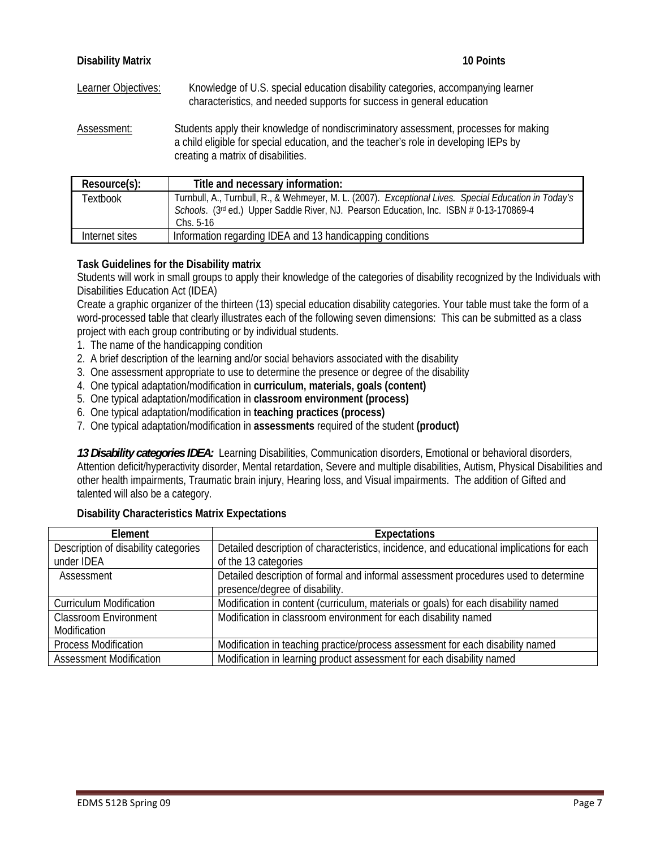| <b>Disability Matrix</b> | 10 Points                                                                                                                                                                                                          |
|--------------------------|--------------------------------------------------------------------------------------------------------------------------------------------------------------------------------------------------------------------|
| Learner Objectives:      | Knowledge of U.S. special education disability categories, accompanying learner<br>characteristics, and needed supports for success in general education                                                           |
| Assessment:              | Students apply their knowledge of nondiscriminatory assessment, processes for making<br>a child eligible for special education, and the teacher's role in developing IEPs by<br>creating a matrix of disabilities. |

| Resource(s):   | Title and necessary information:                                                                                                                                                                                |
|----------------|-----------------------------------------------------------------------------------------------------------------------------------------------------------------------------------------------------------------|
| Textbook       | Turnbull, A., Turnbull, R., & Wehmeyer, M. L. (2007). Exceptional Lives. Special Education in Today's<br>Schools. (3rd ed.) Upper Saddle River, NJ. Pearson Education, Inc. ISBN # 0-13-170869-4<br>$Chs. 5-16$ |
| Internet sites | Information regarding IDEA and 13 handicapping conditions                                                                                                                                                       |

# **Task Guidelines for the Disability matrix**

Students will work in small groups to apply their knowledge of the categories of disability recognized by the Individuals with Disabilities Education Act (IDEA)

Create a graphic organizer of the thirteen (13) special education disability categories. Your table must take the form of a word-processed table that clearly illustrates each of the following seven dimensions: This can be submitted as a class project with each group contributing or by individual students.

- 1. The name of the handicapping condition
- 2. A brief description of the learning and/or social behaviors associated with the disability
- 3. One assessment appropriate to use to determine the presence or degree of the disability
- 4. One typical adaptation/modification in **curriculum, materials, goals (content)**
- 5. One typical adaptation/modification in **classroom environment (process)**
- 6. One typical adaptation/modification in **teaching practices (process)**
- 7. One typical adaptation/modification in **assessments** required of the student **(product)**

*13 Disability categories IDEA:* Learning Disabilities, Communication disorders, Emotional or behavioral disorders, Attention deficit/hyperactivity disorder, Mental retardation, Severe and multiple disabilities, Autism, Physical Disabilities and other health impairments, Traumatic brain injury, Hearing loss, and Visual impairments. The addition of Gifted and talented will also be a category.

#### **Disability Characteristics Matrix Expectations**

| Element                              | <b>Expectations</b>                                                                       |
|--------------------------------------|-------------------------------------------------------------------------------------------|
| Description of disability categories | Detailed description of characteristics, incidence, and educational implications for each |
| under IDEA                           | of the 13 categories                                                                      |
| Assessment                           | Detailed description of formal and informal assessment procedures used to determine       |
|                                      | presence/degree of disability.                                                            |
| <b>Curriculum Modification</b>       | Modification in content (curriculum, materials or goals) for each disability named        |
| <b>Classroom Environment</b>         | Modification in classroom environment for each disability named                           |
| Modification                         |                                                                                           |
| <b>Process Modification</b>          | Modification in teaching practice/process assessment for each disability named            |
| <b>Assessment Modification</b>       | Modification in learning product assessment for each disability named                     |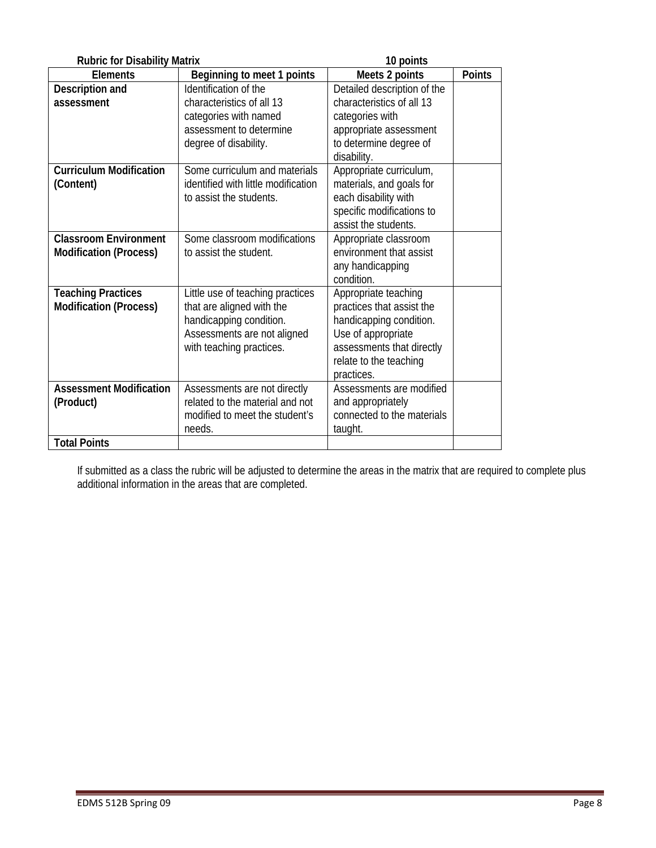| <b>Rubric for Disability Matrix</b>                                |                                                                                                                                                     | 10 points                                                                                                                                                               |               |  |
|--------------------------------------------------------------------|-----------------------------------------------------------------------------------------------------------------------------------------------------|-------------------------------------------------------------------------------------------------------------------------------------------------------------------------|---------------|--|
| <b>Elements</b>                                                    | Beginning to meet 1 points                                                                                                                          | Meets 2 points                                                                                                                                                          | <b>Points</b> |  |
| Description and<br>assessment                                      | Identification of the<br>characteristics of all 13<br>categories with named<br>assessment to determine<br>degree of disability.                     | Detailed description of the<br>characteristics of all 13<br>categories with<br>appropriate assessment<br>to determine degree of<br>disability.                          |               |  |
| <b>Curriculum Modification</b><br>(Content)                        | Some curriculum and materials<br>identified with little modification<br>to assist the students.                                                     | Appropriate curriculum,<br>materials, and goals for<br>each disability with<br>specific modifications to<br>assist the students.                                        |               |  |
| <b>Classroom Environment</b><br><b>Modification (Process)</b>      | Some classroom modifications<br>to assist the student.                                                                                              | Appropriate classroom<br>environment that assist<br>any handicapping<br>condition.                                                                                      |               |  |
| <b>Teaching Practices</b><br><b>Modification (Process)</b>         | Little use of teaching practices<br>that are aligned with the<br>handicapping condition.<br>Assessments are not aligned<br>with teaching practices. | Appropriate teaching<br>practices that assist the<br>handicapping condition.<br>Use of appropriate<br>assessments that directly<br>relate to the teaching<br>practices. |               |  |
| <b>Assessment Modification</b><br>(Product)<br><b>Total Points</b> | Assessments are not directly<br>related to the material and not<br>modified to meet the student's<br>needs.                                         | Assessments are modified<br>and appropriately<br>connected to the materials<br>taught.                                                                                  |               |  |
|                                                                    |                                                                                                                                                     |                                                                                                                                                                         |               |  |

If submitted as a class the rubric will be adjusted to determine the areas in the matrix that are required to complete plus additional information in the areas that are completed.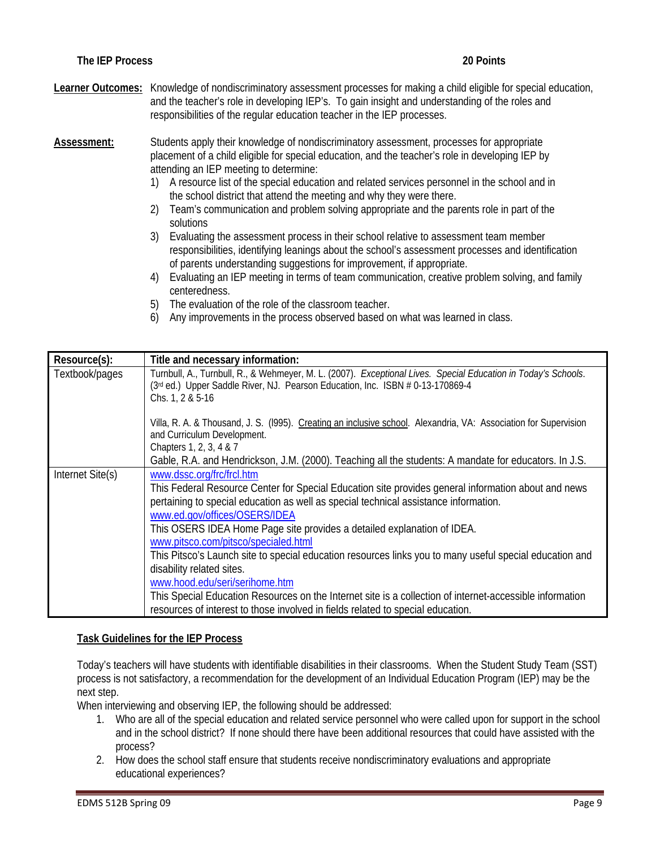Learner Outcomes: Knowledge of nondiscriminatory assessment processes for making a child eligible for special education, and the teacher's role in developing IEP's. To gain insight and understanding of the roles and responsibilities of the regular education teacher in the IEP processes.

**Assessment:** Students apply their knowledge of nondiscriminatory assessment, processes for appropriate placement of a child eligible for special education, and the teacher's role in developing IEP by attending an IEP meeting to determine:

- 1) A resource list of the special education and related services personnel in the school and in the school district that attend the meeting and why they were there.
- 2) Team's communication and problem solving appropriate and the parents role in part of the solutions
- 3) Evaluating the assessment process in their school relative to assessment team member responsibilities, identifying leanings about the school's assessment processes and identification of parents understanding suggestions for improvement, if appropriate.
- 4) Evaluating an IEP meeting in terms of team communication, creative problem solving, and family centeredness.
- 5) The evaluation of the role of the classroom teacher.
- 6) Any improvements in the process observed based on what was learned in class.

| Resource(s):     | Title and necessary information:                                                                                                                                                                                                                                                                                                                                                                                                                                                                                                                                                                                                                                                                                                                      |
|------------------|-------------------------------------------------------------------------------------------------------------------------------------------------------------------------------------------------------------------------------------------------------------------------------------------------------------------------------------------------------------------------------------------------------------------------------------------------------------------------------------------------------------------------------------------------------------------------------------------------------------------------------------------------------------------------------------------------------------------------------------------------------|
| Textbook/pages   | Turnbull, A., Turnbull, R., & Wehmeyer, M. L. (2007). Exceptional Lives. Special Education in Today's Schools.<br>(3rd ed.) Upper Saddle River, NJ. Pearson Education, Inc. ISBN # 0-13-170869-4<br>Chs. $1, 2 & 5 - 16$                                                                                                                                                                                                                                                                                                                                                                                                                                                                                                                              |
|                  | Villa, R. A. & Thousand, J. S. (1995). Creating an inclusive school. Alexandria, VA: Association for Supervision<br>and Curriculum Development.<br>Chapters 1, 2, 3, 4 & 7                                                                                                                                                                                                                                                                                                                                                                                                                                                                                                                                                                            |
|                  | Gable, R.A. and Hendrickson, J.M. (2000). Teaching all the students: A mandate for educators. In J.S.                                                                                                                                                                                                                                                                                                                                                                                                                                                                                                                                                                                                                                                 |
| Internet Site(s) | www.dssc.org/frc/frcl.htm<br>This Federal Resource Center for Special Education site provides general information about and news<br>pertaining to special education as well as special technical assistance information.<br>www.ed.gov/offices/OSERS/IDEA<br>This OSERS IDEA Home Page site provides a detailed explanation of IDEA.<br>www.pitsco.com/pitsco/specialed.html<br>This Pitsco's Launch site to special education resources links you to many useful special education and<br>disability related sites.<br>www.hood.edu/seri/serihome.htm<br>This Special Education Resources on the Internet site is a collection of internet-accessible information<br>resources of interest to those involved in fields related to special education. |

#### **Task Guidelines for the IEP Process**

Today's teachers will have students with identifiable disabilities in their classrooms. When the Student Study Team (SST) process is not satisfactory, a recommendation for the development of an Individual Education Program (IEP) may be the next step.

When interviewing and observing IEP, the following should be addressed:

- 1. Who are all of the special education and related service personnel who were called upon for support in the school and in the school district? If none should there have been additional resources that could have assisted with the process?
- 2. How does the school staff ensure that students receive nondiscriminatory evaluations and appropriate educational experiences?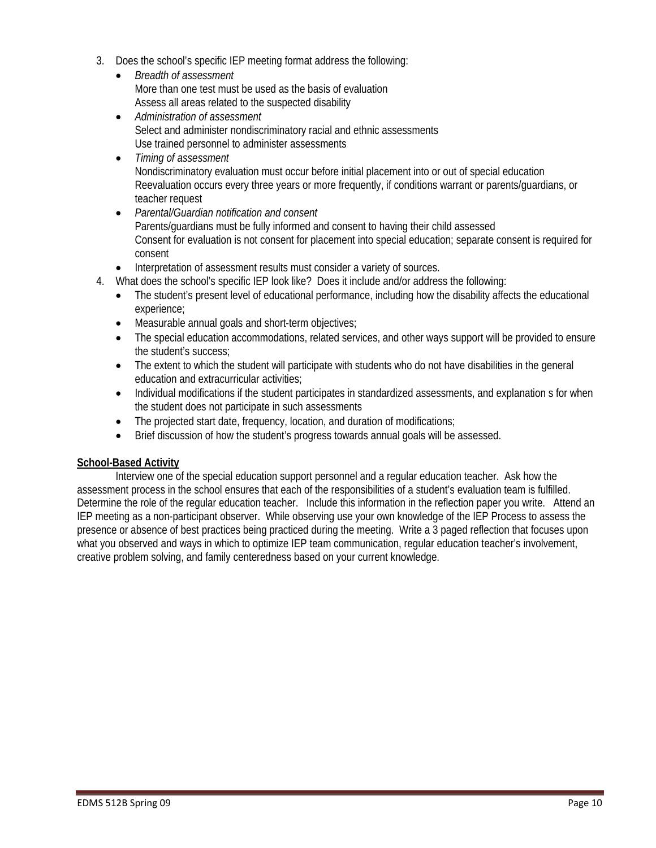- 3. Does the school's specific IEP meeting format address the following:
	- • *Breadth of assessment*  More than one test must be used as the basis of evaluation Assess all areas related to the suspected disability
	- • *Administration of assessment*  Select and administer nondiscriminatory racial and ethnic assessments Use trained personnel to administer assessments
	- • *Timing of assessment*  Nondiscriminatory evaluation must occur before initial placement into or out of special education Reevaluation occurs every three years or more frequently, if conditions warrant or parents/guardians, or teacher request
	- **Parental/Guardian notification and consent** Parents/guardians must be fully informed and consent to having their child assessed Consent for evaluation is not consent for placement into special education; separate consent is required for consent
	- Interpretation of assessment results must consider a variety of sources.
- 4. What does the school's specific IEP look like? Does it include and/or address the following:
	- The student's present level of educational performance, including how the disability affects the educational experience;
	- Measurable annual goals and short-term objectives;
	- The special education accommodations, related services, and other ways support will be provided to ensure the student's success;
	- The extent to which the student will participate with students who do not have disabilities in the general education and extracurricular activities;
	- Individual modifications if the student participates in standardized assessments, and explanation s for when the student does not participate in such assessments
	- The projected start date, frequency, location, and duration of modifications;
	- Brief discussion of how the student's progress towards annual goals will be assessed.

#### **School-Based Activity**

Interview one of the special education support personnel and a regular education teacher. Ask how the assessment process in the school ensures that each of the responsibilities of a student's evaluation team is fulfilled. Determine the role of the regular education teacher. Include this information in the reflection paper you write. Attend an IEP meeting as a non-participant observer. While observing use your own knowledge of the IEP Process to assess the presence or absence of best practices being practiced during the meeting. Write a 3 paged reflection that focuses upon what you observed and ways in which to optimize IEP team communication, regular education teacher's involvement, creative problem solving, and family centeredness based on your current knowledge.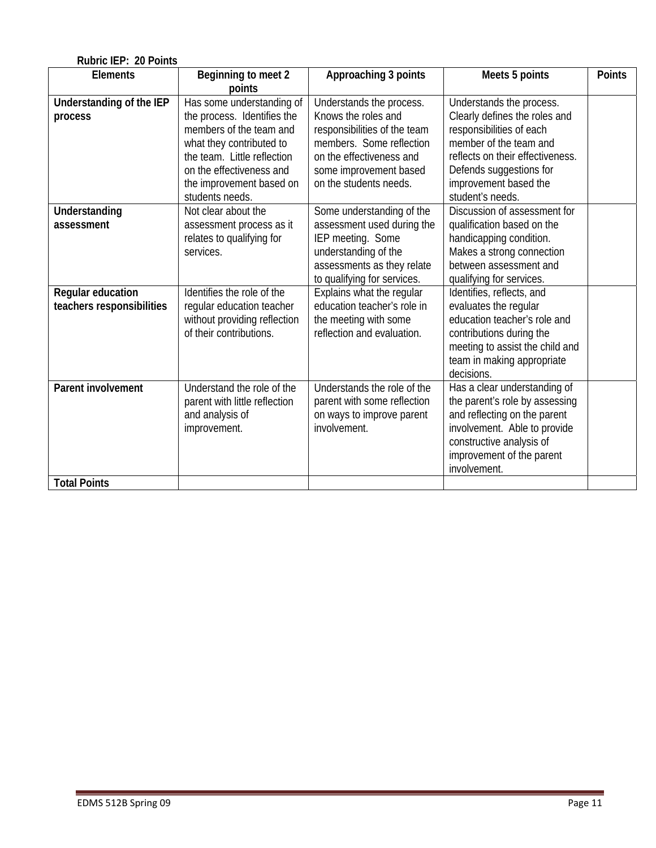| Rubric IEP: 20 Points     |                               |                              |                                  |               |
|---------------------------|-------------------------------|------------------------------|----------------------------------|---------------|
| <b>Elements</b>           | Beginning to meet 2           | Approaching 3 points         | Meets 5 points                   | <b>Points</b> |
|                           | points                        |                              |                                  |               |
| Understanding of the IEP  | Has some understanding of     | Understands the process.     | Understands the process.         |               |
| process                   | the process. Identifies the   | Knows the roles and          | Clearly defines the roles and    |               |
|                           | members of the team and       | responsibilities of the team | responsibilities of each         |               |
|                           | what they contributed to      | members. Some reflection     | member of the team and           |               |
|                           | the team. Little reflection   | on the effectiveness and     | reflects on their effectiveness. |               |
|                           | on the effectiveness and      | some improvement based       | Defends suggestions for          |               |
|                           | the improvement based on      | on the students needs.       | improvement based the            |               |
|                           | students needs.               |                              | student's needs.                 |               |
| <b>Understanding</b>      | Not clear about the           | Some understanding of the    | Discussion of assessment for     |               |
| assessment                | assessment process as it      | assessment used during the   | qualification based on the       |               |
|                           | relates to qualifying for     | IEP meeting. Some            | handicapping condition.          |               |
|                           | services.                     | understanding of the         | Makes a strong connection        |               |
|                           |                               | assessments as they relate   | between assessment and           |               |
|                           |                               | to qualifying for services.  | qualifying for services.         |               |
| Regular education         | Identifies the role of the    | Explains what the regular    | Identifies, reflects, and        |               |
| teachers responsibilities | regular education teacher     | education teacher's role in  | evaluates the regular            |               |
|                           | without providing reflection  | the meeting with some        | education teacher's role and     |               |
|                           | of their contributions.       | reflection and evaluation.   | contributions during the         |               |
|                           |                               |                              | meeting to assist the child and  |               |
|                           |                               |                              | team in making appropriate       |               |
|                           |                               |                              | decisions.                       |               |
| <b>Parent involvement</b> | Understand the role of the    | Understands the role of the  | Has a clear understanding of     |               |
|                           | parent with little reflection | parent with some reflection  | the parent's role by assessing   |               |
|                           | and analysis of               | on ways to improve parent    | and reflecting on the parent     |               |
|                           | improvement.                  | involvement.                 | involvement. Able to provide     |               |
|                           |                               |                              | constructive analysis of         |               |
|                           |                               |                              | improvement of the parent        |               |
|                           |                               |                              | involvement.                     |               |
| <b>Total Points</b>       |                               |                              |                                  |               |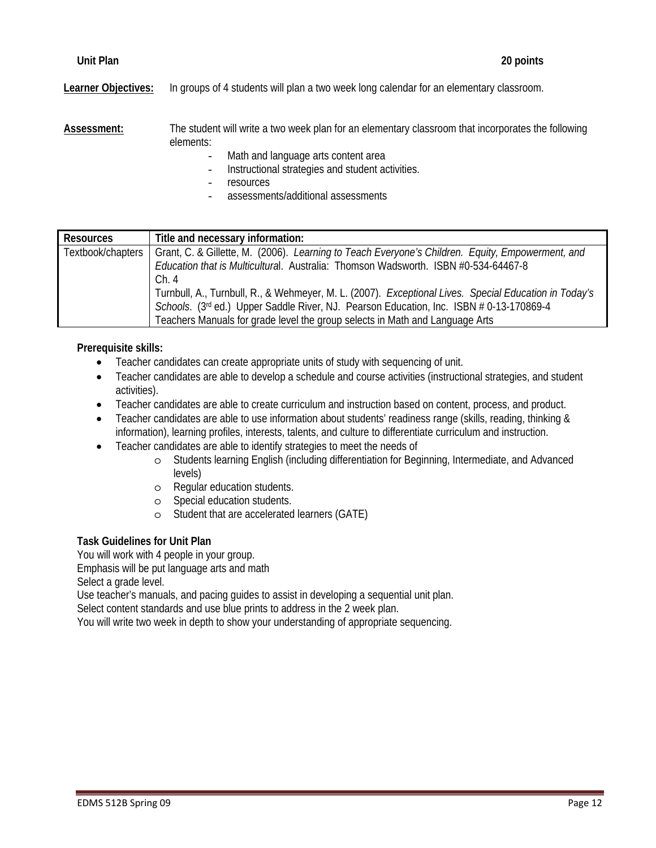**Learner Objectives:** In groups of 4 students will plan a two week long calendar for an elementary classroom.

**Assessment:** The student will write a two week plan for an elementary classroom that incorporates the following elements:

- Math and language arts content area
- Instructional strategies and student activities.
- resources
- assessments/additional assessments

| <b>Resources</b>  | Title and necessary information:                                                                      |
|-------------------|-------------------------------------------------------------------------------------------------------|
| Textbook/chapters | Grant, C. & Gillette, M. (2006). Learning to Teach Everyone's Children. Equity, Empowerment, and      |
|                   | Education that is Multicultural. Australia: Thomson Wadsworth. ISBN #0-534-64467-8                    |
|                   | Ch.4                                                                                                  |
|                   | Turnbull, A., Turnbull, R., & Wehmeyer, M. L. (2007). Exceptional Lives. Special Education in Today's |
|                   | Schools. (3rd ed.) Upper Saddle River, NJ. Pearson Education, Inc. ISBN # 0-13-170869-4               |
|                   | Teachers Manuals for grade level the group selects in Math and Language Arts                          |

# **Prerequisite skills:**

- Teacher candidates can create appropriate units of study with sequencing of unit.
- Teacher candidates are able to develop a schedule and course activities (instructional strategies, and student activities).
- Teacher candidates are able to create curriculum and instruction based on content, process, and product.
- Teacher candidates are able to use information about students' readiness range (skills, reading, thinking & information), learning profiles, interests, talents, and culture to differentiate curriculum and instruction.
- Teacher candidates are able to identify strategies to meet the needs of
	- o Students learning English (including differentiation for Beginning, Intermediate, and Advanced levels)
	- o Regular education students.
	- o Special education students.
	- o Student that are accelerated learners (GATE)

# **Task Guidelines for Unit Plan**

You will work with 4 people in your group.

Emphasis will be put language arts and math

Select a grade level.

Use teacher's manuals, and pacing guides to assist in developing a sequential unit plan.

Select content standards and use blue prints to address in the 2 week plan.

You will write two week in depth to show your understanding of appropriate sequencing.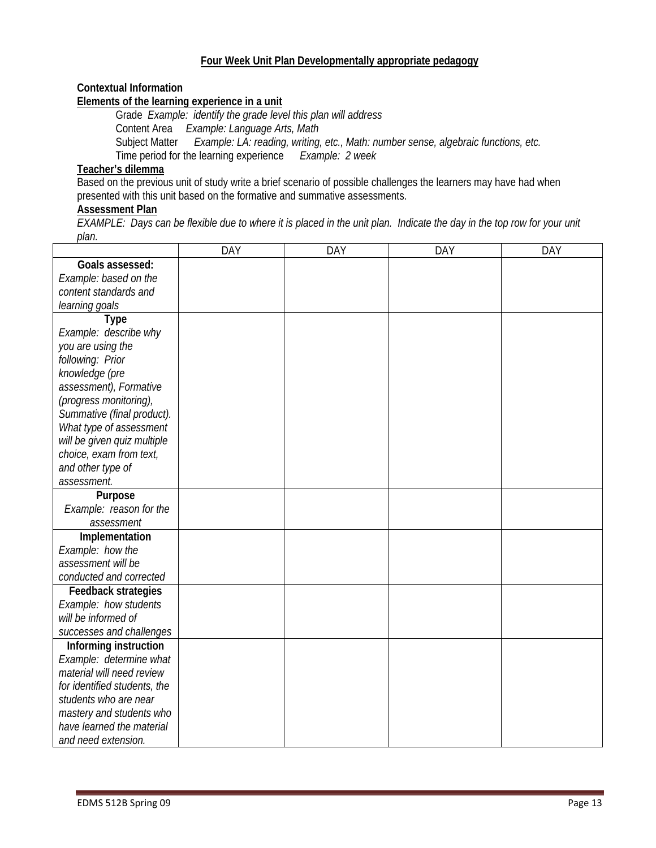# **Four Week Unit Plan Developmentally appropriate pedagogy**

# **Contextual Information**

#### **Elements of the learning experience in a unit**

Subject Matter *Example: LA: reading, writing, etc., Math: number sense, algebraic functions, etc.*  Grade *Example: identify the grade level this plan will address*  Content Area *Example: Language Arts, Math*  Time period for the learning experience *Example: 2 week* 

# **Teacher's dilemma**

Based on the previous unit of study write a brief scenario of possible challenges the learners may have had when presented with this unit based on the formative and summative assessments.

#### **Assessment Plan**

*EXAMPLE: Days can be flexible due to where it is placed in the unit plan. Indicate the day in the top row for your unit plan.* 

|                                                       | <b>DAY</b> | DAY | <b>DAY</b> | DAY |
|-------------------------------------------------------|------------|-----|------------|-----|
| Goals assessed:                                       |            |     |            |     |
| Example: based on the                                 |            |     |            |     |
| content standards and                                 |            |     |            |     |
| learning goals                                        |            |     |            |     |
| <b>Type</b>                                           |            |     |            |     |
| Example: describe why                                 |            |     |            |     |
| you are using the                                     |            |     |            |     |
| following: Prior                                      |            |     |            |     |
| knowledge (pre                                        |            |     |            |     |
| assessment), Formative                                |            |     |            |     |
| (progress monitoring),                                |            |     |            |     |
| Summative (final product).                            |            |     |            |     |
| What type of assessment                               |            |     |            |     |
| will be given quiz multiple                           |            |     |            |     |
| choice, exam from text,                               |            |     |            |     |
| and other type of                                     |            |     |            |     |
| assessment.                                           |            |     |            |     |
| Purpose                                               |            |     |            |     |
| Example: reason for the                               |            |     |            |     |
| assessment                                            |            |     |            |     |
| Implementation                                        |            |     |            |     |
| Example: how the                                      |            |     |            |     |
| assessment will be                                    |            |     |            |     |
| conducted and corrected                               |            |     |            |     |
| Feedback strategies                                   |            |     |            |     |
| Example: how students                                 |            |     |            |     |
| will be informed of                                   |            |     |            |     |
| successes and challenges                              |            |     |            |     |
| Informing instruction                                 |            |     |            |     |
| Example: determine what<br>material will need review  |            |     |            |     |
|                                                       |            |     |            |     |
| for identified students, the                          |            |     |            |     |
| students who are near                                 |            |     |            |     |
| mastery and students who<br>have learned the material |            |     |            |     |
|                                                       |            |     |            |     |
| and need extension.                                   |            |     |            |     |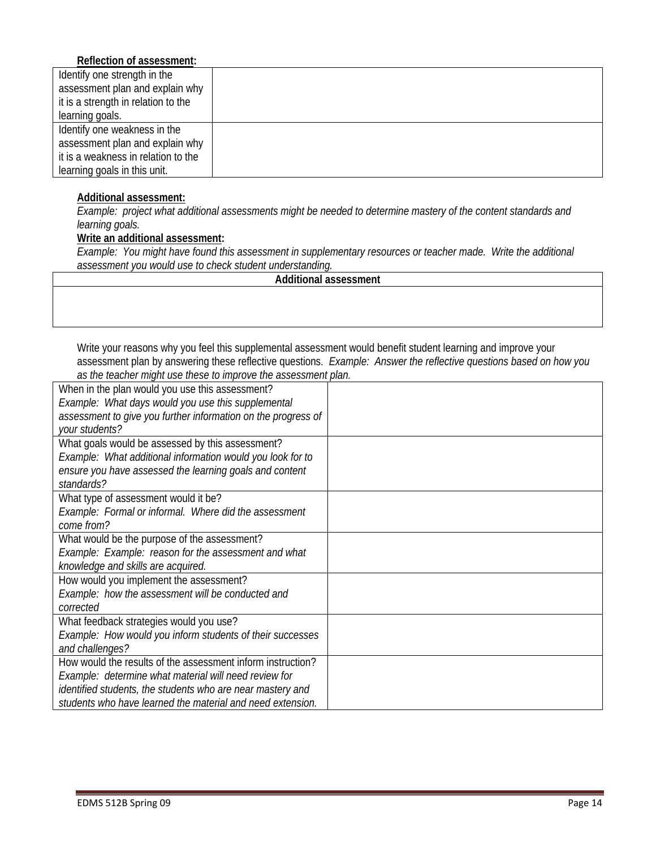# **Reflection of assessment:**

| Identify one strength in the        |  |
|-------------------------------------|--|
| assessment plan and explain why     |  |
| it is a strength in relation to the |  |
| learning goals.                     |  |
| Identify one weakness in the        |  |
| assessment plan and explain why     |  |
| it is a weakness in relation to the |  |
| learning goals in this unit.        |  |
|                                     |  |

#### **Additional assessment:**

 *learning goals. Example: project what additional assessments might be needed to determine mastery of the content standards and* 

#### **Write an additional assessment:**

*Example: You might have found this assessment in supplementary resources or teacher made. Write the additional assessment you would use to check student understanding.* 

|  | Additional assessment |
|--|-----------------------|
|--|-----------------------|

Write your reasons why you feel this supplemental assessment would benefit student learning and improve your assessment plan by answering these reflective questions. *Example: Answer the reflective questions based on how you as the teacher might use these to improve the assessment plan.* 

| When in the plan would you use this assessment?               |  |
|---------------------------------------------------------------|--|
| Example: What days would you use this supplemental            |  |
| assessment to give you further information on the progress of |  |
| your students?                                                |  |
| What goals would be assessed by this assessment?              |  |
| Example: What additional information would you look for to    |  |
| ensure you have assessed the learning goals and content       |  |
| standards?                                                    |  |
| What type of assessment would it be?                          |  |
| Example: Formal or informal. Where did the assessment         |  |
| come from?                                                    |  |
| What would be the purpose of the assessment?                  |  |
| Example: Example: reason for the assessment and what          |  |
| knowledge and skills are acquired.                            |  |
| How would you implement the assessment?                       |  |
| Example: how the assessment will be conducted and             |  |
| corrected                                                     |  |
| What feedback strategies would you use?                       |  |
| Example: How would you inform students of their successes     |  |
| and challenges?                                               |  |
| How would the results of the assessment inform instruction?   |  |
| Example: determine what material will need review for         |  |
| identified students, the students who are near mastery and    |  |
| students who have learned the material and need extension.    |  |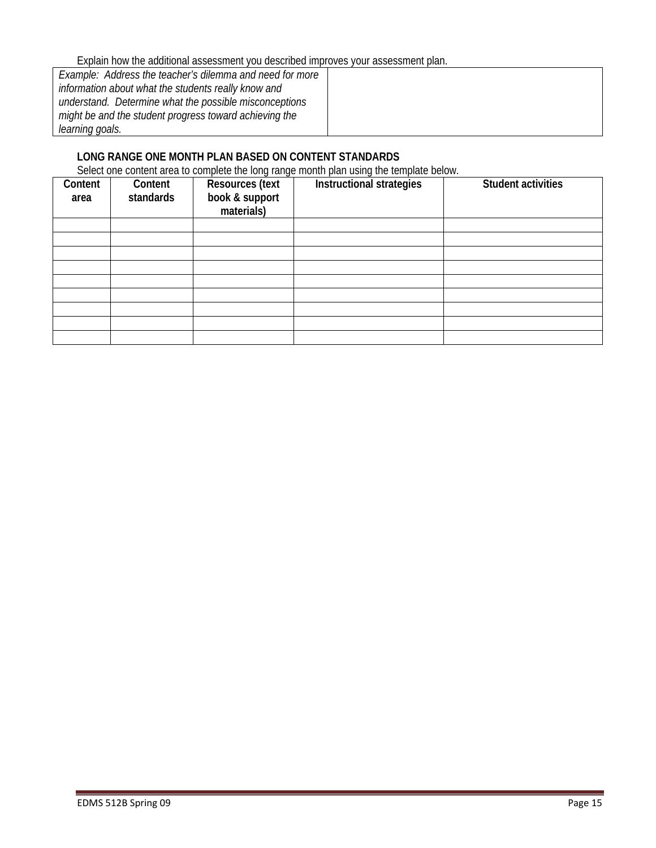Explain how the additional assessment you described improves your assessment plan.

| Example: Address the teacher's dilemma and need for more |  |
|----------------------------------------------------------|--|
| information about what the students really know and      |  |
| understand. Determine what the possible misconceptions   |  |
| might be and the student progress toward achieving the   |  |
| learning goals.                                          |  |

# **LONG RANGE ONE MONTH PLAN BASED ON CONTENT STANDARDS**

Select one content area to complete the long range month plan using the template below.

| Content<br>area | Content<br>standards | <b>Resources (text</b><br>book & support<br>materials) | $\sim$<br>Instructional strategies | <b>Student activities</b> |
|-----------------|----------------------|--------------------------------------------------------|------------------------------------|---------------------------|
|                 |                      |                                                        |                                    |                           |
|                 |                      |                                                        |                                    |                           |
|                 |                      |                                                        |                                    |                           |
|                 |                      |                                                        |                                    |                           |
|                 |                      |                                                        |                                    |                           |
|                 |                      |                                                        |                                    |                           |
|                 |                      |                                                        |                                    |                           |
|                 |                      |                                                        |                                    |                           |
|                 |                      |                                                        |                                    |                           |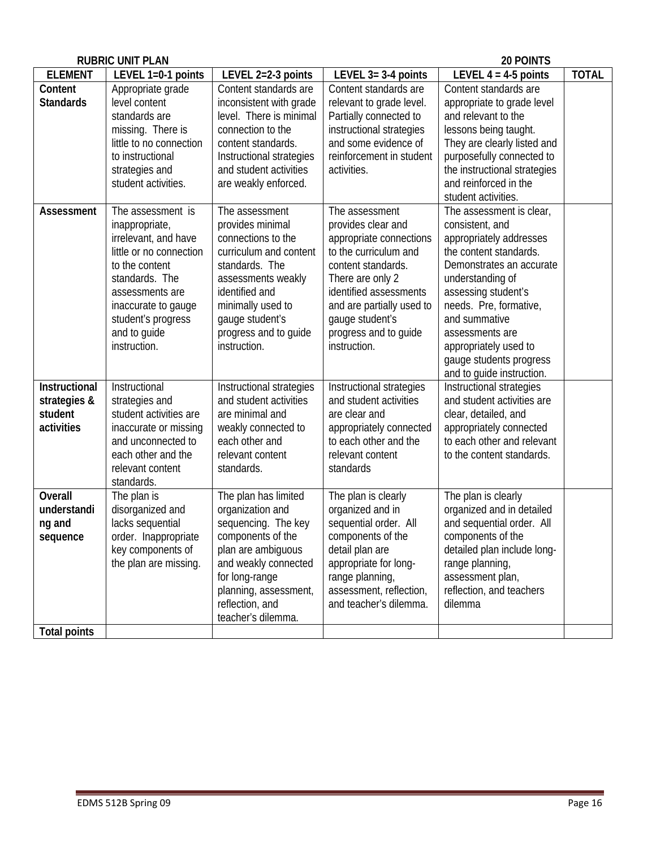|                                                        | <b>RUBRIC UNIT PLAN</b>                                                                                                                                                                                                    |                                                                                                                                                                                                                               |                                                                                                                                                                                                                                                       | 20 POINTS                                                                                                                                                                                                                                                                                                              |              |
|--------------------------------------------------------|----------------------------------------------------------------------------------------------------------------------------------------------------------------------------------------------------------------------------|-------------------------------------------------------------------------------------------------------------------------------------------------------------------------------------------------------------------------------|-------------------------------------------------------------------------------------------------------------------------------------------------------------------------------------------------------------------------------------------------------|------------------------------------------------------------------------------------------------------------------------------------------------------------------------------------------------------------------------------------------------------------------------------------------------------------------------|--------------|
| <b>ELEMENT</b>                                         | LEVEL 1=0-1 points                                                                                                                                                                                                         | LEVEL 2=2-3 points                                                                                                                                                                                                            | LEVEL $3=3-4$ points                                                                                                                                                                                                                                  | LEVEL $4 = 4-5$ points                                                                                                                                                                                                                                                                                                 | <b>TOTAL</b> |
| Content<br><b>Standards</b>                            | Appropriate grade<br>level content<br>standards are<br>missing. There is<br>little to no connection<br>to instructional<br>strategies and<br>student activities.                                                           | Content standards are<br>inconsistent with grade<br>level. There is minimal<br>connection to the<br>content standards.<br>Instructional strategies<br>and student activities<br>are weakly enforced.                          | Content standards are<br>relevant to grade level.<br>Partially connected to<br>instructional strategies<br>and some evidence of<br>reinforcement in student<br>activities.                                                                            | Content standards are<br>appropriate to grade level<br>and relevant to the<br>lessons being taught.<br>They are clearly listed and<br>purposefully connected to<br>the instructional strategies<br>and reinforced in the<br>student activities.                                                                        |              |
| Assessment                                             | The assessment is<br>inappropriate,<br>irrelevant, and have<br>little or no connection<br>to the content<br>standards. The<br>assessments are<br>inaccurate to gauge<br>student's progress<br>and to guide<br>instruction. | The assessment<br>provides minimal<br>connections to the<br>curriculum and content<br>standards. The<br>assessments weakly<br>identified and<br>minimally used to<br>gauge student's<br>progress and to guide<br>instruction. | The assessment<br>provides clear and<br>appropriate connections<br>to the curriculum and<br>content standards.<br>There are only 2<br>identified assessments<br>and are partially used to<br>gauge student's<br>progress and to guide<br>instruction. | The assessment is clear,<br>consistent, and<br>appropriately addresses<br>the content standards.<br>Demonstrates an accurate<br>understanding of<br>assessing student's<br>needs. Pre, formative,<br>and summative<br>assessments are<br>appropriately used to<br>gauge students progress<br>and to guide instruction. |              |
| Instructional<br>strategies &<br>student<br>activities | Instructional<br>strategies and<br>student activities are<br>inaccurate or missing<br>and unconnected to<br>each other and the<br>relevant content<br>standards.                                                           | Instructional strategies<br>and student activities<br>are minimal and<br>weakly connected to<br>each other and<br>relevant content<br>standards.                                                                              | Instructional strategies<br>and student activities<br>are clear and<br>appropriately connected<br>to each other and the<br>relevant content<br>standards                                                                                              | Instructional strategies<br>and student activities are<br>clear, detailed, and<br>appropriately connected<br>to each other and relevant<br>to the content standards.                                                                                                                                                   |              |
| Overall<br>understandi<br>ng and<br>sequence           | The plan is<br>disorganized and<br>lacks sequential<br>order. Inappropriate<br>key components of<br>the plan are missing.                                                                                                  | The plan has limited<br>organization and<br>sequencing. The key<br>components of the<br>plan are ambiguous<br>and weakly connected<br>for long-range<br>planning, assessment,<br>reflection, and<br>teacher's dilemma.        | The plan is clearly<br>organized and in<br>sequential order. All<br>components of the<br>detail plan are<br>appropriate for long-<br>range planning,<br>assessment, reflection,<br>and teacher's dilemma.                                             | The plan is clearly<br>organized and in detailed<br>and sequential order. All<br>components of the<br>detailed plan include long-<br>range planning,<br>assessment plan,<br>reflection, and teachers<br>dilemma                                                                                                        |              |
| <b>Total points</b>                                    |                                                                                                                                                                                                                            |                                                                                                                                                                                                                               |                                                                                                                                                                                                                                                       |                                                                                                                                                                                                                                                                                                                        |              |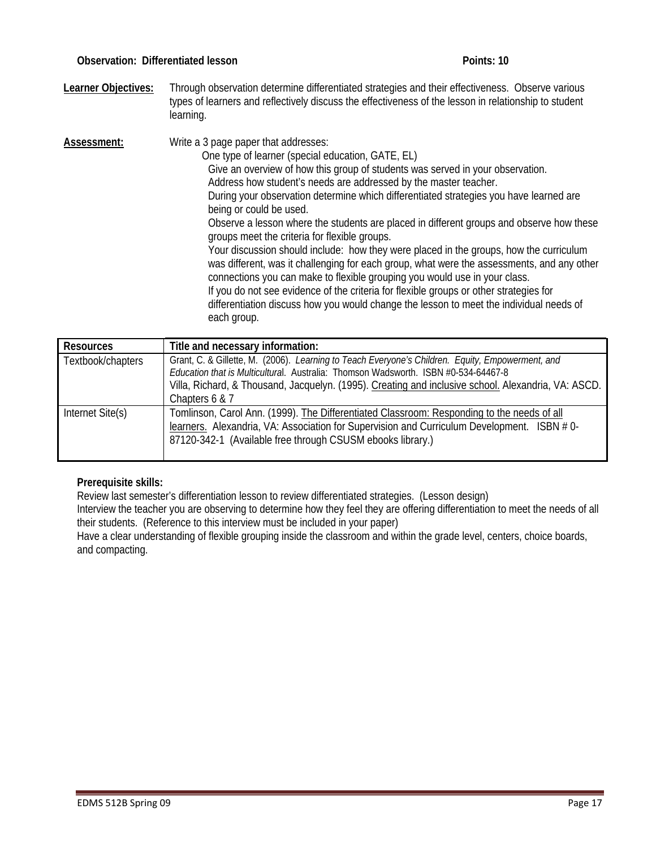**Learner Objectives:** Through observation determine differentiated strategies and their effectiveness. Observe various types of learners and reflectively discuss the effectiveness of the lesson in relationship to student learning.

 differentiation discuss how you would change the lesson to meet the individual needs of Assessment: Write a 3 page paper that addresses: One type of learner (special education, GATE, EL) Give an overview of how this group of students was served in your observation. Address how student's needs are addressed by the master teacher. During your observation determine which differentiated strategies you have learned are being or could be used. Observe a lesson where the students are placed in different groups and observe how these groups meet the criteria for flexible groups. Your discussion should include: how they were placed in the groups, how the curriculum was different, was it challenging for each group, what were the assessments, and any other connections you can make to flexible grouping you would use in your class. If you do not see evidence of the criteria for flexible groups or other strategies for each group.

| Resources         | Title and necessary information:                                                                                                                                                                                                                                                              |
|-------------------|-----------------------------------------------------------------------------------------------------------------------------------------------------------------------------------------------------------------------------------------------------------------------------------------------|
| Textbook/chapters | Grant, C. & Gillette, M. (2006). Learning to Teach Everyone's Children. Equity, Empowerment, and<br>Education that is Multicultural. Australia: Thomson Wadsworth. ISBN #0-534-64467-8<br>Villa, Richard, & Thousand, Jacquelyn. (1995). Creating and inclusive school. Alexandria, VA: ASCD. |
|                   | Chapters 6 & 7                                                                                                                                                                                                                                                                                |
| Internet Site(s)  | Tomlinson, Carol Ann. (1999). The Differentiated Classroom: Responding to the needs of all<br>learners. Alexandria, VA: Association for Supervision and Curriculum Development. ISBN #0-<br>87120-342-1 (Available free through CSUSM ebooks library.)                                        |

# **Prerequisite skills:**

Review last semester's differentiation lesson to review differentiated strategies. (Lesson design)

Interview the teacher you are observing to determine how they feel they are offering differentiation to meet the needs of all their students. (Reference to this interview must be included in your paper)

Have a clear understanding of flexible grouping inside the classroom and within the grade level, centers, choice boards, and compacting.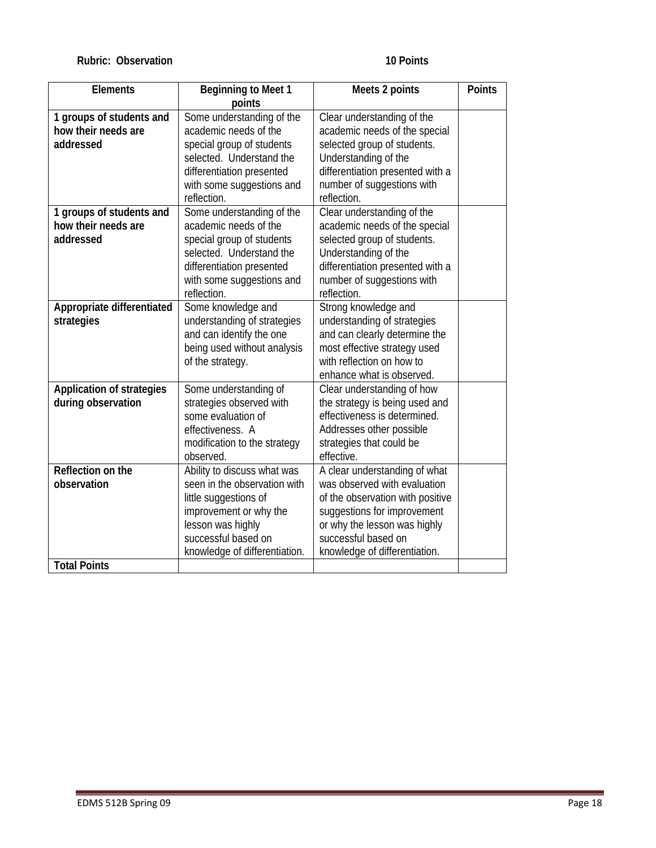#### **Rubric: Observation 10 Points 10 Points**

| <b>Elements</b>                  | <b>Beginning to Meet 1</b>    | Meets 2 points                   | <b>Points</b> |
|----------------------------------|-------------------------------|----------------------------------|---------------|
|                                  | points                        |                                  |               |
| 1 groups of students and         | Some understanding of the     | Clear understanding of the       |               |
| how their needs are              | academic needs of the         | academic needs of the special    |               |
| addressed                        | special group of students     | selected group of students.      |               |
|                                  | selected. Understand the      | Understanding of the             |               |
|                                  | differentiation presented     | differentiation presented with a |               |
|                                  | with some suggestions and     | number of suggestions with       |               |
|                                  | reflection.                   | reflection.                      |               |
| 1 groups of students and         | Some understanding of the     | Clear understanding of the       |               |
| how their needs are              | academic needs of the         | academic needs of the special    |               |
| addressed                        | special group of students     | selected group of students.      |               |
|                                  | selected. Understand the      | Understanding of the             |               |
|                                  | differentiation presented     | differentiation presented with a |               |
|                                  | with some suggestions and     | number of suggestions with       |               |
|                                  | reflection.                   | reflection.                      |               |
| Appropriate differentiated       | Some knowledge and            | Strong knowledge and             |               |
| strategies                       | understanding of strategies   | understanding of strategies      |               |
|                                  | and can identify the one      | and can clearly determine the    |               |
|                                  | being used without analysis   | most effective strategy used     |               |
|                                  | of the strategy.              | with reflection on how to        |               |
|                                  |                               | enhance what is observed.        |               |
| <b>Application of strategies</b> | Some understanding of         | Clear understanding of how       |               |
| during observation               | strategies observed with      | the strategy is being used and   |               |
|                                  | some evaluation of            | effectiveness is determined.     |               |
|                                  | effectiveness. A              | Addresses other possible         |               |
|                                  | modification to the strategy  | strategies that could be         |               |
|                                  | observed.                     | effective.                       |               |
| Reflection on the                | Ability to discuss what was   | A clear understanding of what    |               |
| observation                      | seen in the observation with  | was observed with evaluation     |               |
|                                  | little suggestions of         | of the observation with positive |               |
|                                  | improvement or why the        | suggestions for improvement      |               |
|                                  | lesson was highly             | or why the lesson was highly     |               |
|                                  | successful based on           | successful based on              |               |
|                                  | knowledge of differentiation. | knowledge of differentiation.    |               |
| <b>Total Points</b>              |                               |                                  |               |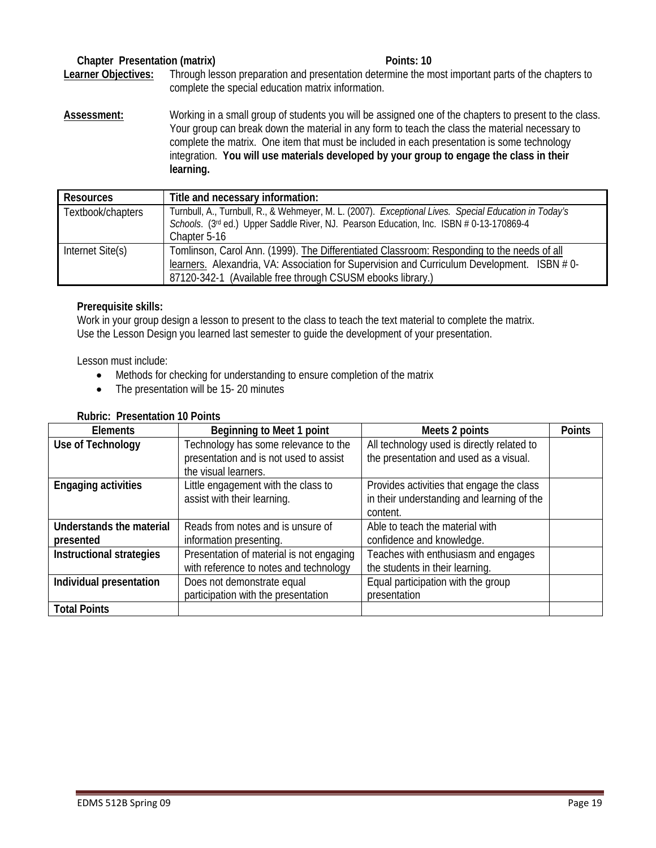# **Chapter Presentation (matrix)** All research and points: 10 **Points: 10**

**Learner Objectives:** Through lesson preparation and presentation determine the most important parts of the chapters to complete the special education matrix information.

**Assessment:** Working in a small group of students you will be assigned one of the chapters to present to the class. Your group can break down the material in any form to teach the class the material necessary to complete the matrix. One item that must be included in each presentation is some technology integration. **You will use materials developed by your group to engage the class in their learning.** 

| <b>Resources</b>  | Title and necessary information:                                                                                                                                                                 |
|-------------------|--------------------------------------------------------------------------------------------------------------------------------------------------------------------------------------------------|
| Textbook/chapters | Turnbull, A., Turnbull, R., & Wehmeyer, M. L. (2007). Exceptional Lives. Special Education in Today's<br>Schools. (3rd ed.) Upper Saddle River, NJ. Pearson Education, Inc. ISBN # 0-13-170869-4 |
|                   | Chapter 5-16                                                                                                                                                                                     |
| Internet Site(s)  | Tomlinson, Carol Ann. (1999). The Differentiated Classroom: Responding to the needs of all                                                                                                       |
|                   | learners. Alexandria, VA: Association for Supervision and Curriculum Development. ISBN #0-                                                                                                       |
|                   | 87120-342-1 (Available free through CSUSM ebooks library.)                                                                                                                                       |

# **Prerequisite skills:**

Work in your group design a lesson to present to the class to teach the text material to complete the matrix. Use the Lesson Design you learned last semester to guide the development of your presentation.

Lesson must include:

- Methods for checking for understanding to ensure completion of the matrix
- The presentation will be 15-20 minutes

#### **Rubric: Presentation 10 Points**

| Elements                   | Beginning to Meet 1 point                | Meets 2 points                             | <b>Points</b> |
|----------------------------|------------------------------------------|--------------------------------------------|---------------|
| Use of Technology          | Technology has some relevance to the     | All technology used is directly related to |               |
|                            | presentation and is not used to assist   | the presentation and used as a visual.     |               |
|                            | the visual learners.                     |                                            |               |
| <b>Engaging activities</b> | Little engagement with the class to      | Provides activities that engage the class  |               |
|                            | assist with their learning.              | in their understanding and learning of the |               |
|                            |                                          | content.                                   |               |
| Understands the material   | Reads from notes and is unsure of        | Able to teach the material with            |               |
| presented                  | information presenting.                  | confidence and knowledge.                  |               |
| Instructional strategies   | Presentation of material is not engaging | Teaches with enthusiasm and engages        |               |
|                            | with reference to notes and technology   | the students in their learning.            |               |
| Individual presentation    | Does not demonstrate equal               | Equal participation with the group         |               |
|                            | participation with the presentation      | presentation                               |               |
| <b>Total Points</b>        |                                          |                                            |               |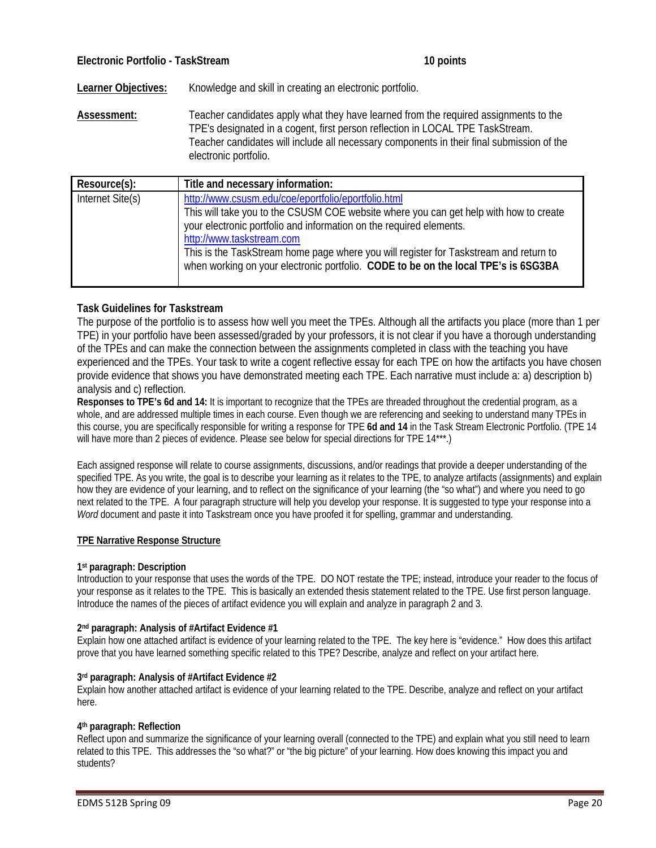**Learner Objectives:** Knowledge and skill in creating an electronic portfolio.

**Assessment:** Teacher candidates apply what they have learned from the required assignments to the TPE's designated in a cogent, first person reflection in LOCAL TPE TaskStream. Teacher candidates will include all necessary components in their final submission of the electronic portfolio.

| Resource(s):     | Title and necessary information:                                                                                                                                                                                                                                                                                                                                                                                                |
|------------------|---------------------------------------------------------------------------------------------------------------------------------------------------------------------------------------------------------------------------------------------------------------------------------------------------------------------------------------------------------------------------------------------------------------------------------|
| Internet Site(s) | http://www.csusm.edu/coe/eportfolio/eportfolio.html<br>This will take you to the CSUSM COE website where you can get help with how to create<br>your electronic portfolio and information on the required elements.<br>http://www.taskstream.com<br>This is the TaskStream home page where you will register for Taskstream and return to<br>when working on your electronic portfolio. CODE to be on the local TPE's is 6SG3BA |
|                  |                                                                                                                                                                                                                                                                                                                                                                                                                                 |

#### **Task Guidelines for Taskstream**

The purpose of the portfolio is to assess how well you meet the TPEs. Although all the artifacts you place (more than 1 per TPE) in your portfolio have been assessed/graded by your professors, it is not clear if you have a thorough understanding of the TPEs and can make the connection between the assignments completed in class with the teaching you have experienced and the TPEs. Your task to write a cogent reflective essay for each TPE on how the artifacts you have chosen provide evidence that shows you have demonstrated meeting each TPE. Each narrative must include a: a) description b) analysis and c) reflection.

**Responses to TPE's 6d and 14:** It is important to recognize that the TPEs are threaded throughout the credential program, as a whole, and are addressed multiple times in each course. Even though we are referencing and seeking to understand many TPEs in this course, you are specifically responsible for writing a response for TPE **6d and 14** in the Task Stream Electronic Portfolio. (TPE 14 will have more than 2 pieces of evidence. Please see below for special directions for TPE 14\*\*\*.)

Each assigned response will relate to course assignments, discussions, and/or readings that provide a deeper understanding of the specified TPE. As you write, the goal is to describe your learning as it relates to the TPE, to analyze artifacts (assignments) and explain how they are evidence of your learning, and to reflect on the significance of your learning (the "so what") and where you need to go next related to the TPE. A four paragraph structure will help you develop your response. It is suggested to type your response into a *Word* document and paste it into Taskstream once you have proofed it for spelling, grammar and understanding.

#### **TPE Narrative Response Structure**

#### **1st paragraph: Description**

Introduction to your response that uses the words of the TPE. DO NOT restate the TPE; instead, introduce your reader to the focus of your response as it relates to the TPE. This is basically an extended thesis statement related to the TPE. Use first person language. Introduce the names of the pieces of artifact evidence you will explain and analyze in paragraph 2 and 3.

#### **2nd paragraph: Analysis of #Artifact Evidence #1**

Explain how one attached artifact is evidence of your learning related to the TPE. The key here is "evidence." How does this artifact prove that you have learned something specific related to this TPE? Describe, analyze and reflect on your artifact here.

#### **3rd paragraph: Analysis of #Artifact Evidence #2**

Explain how another attached artifact is evidence of your learning related to the TPE. Describe, analyze and reflect on your artifact here.

#### **4th paragraph: Reflection**

Reflect upon and summarize the significance of your learning overall (connected to the TPE) and explain what you still need to learn related to this TPE. This addresses the "so what?" or "the big picture" of your learning. How does knowing this impact you and students?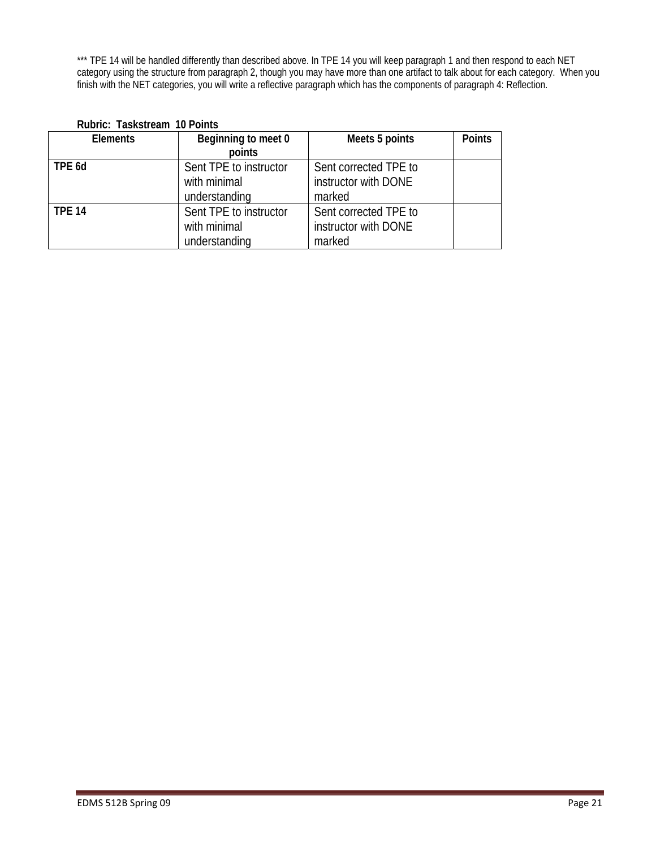\*\*\* TPE 14 will be handled differently than described above. In TPE 14 you will keep paragraph 1 and then respond to each NET category using the structure from paragraph 2, though you may have more than one artifact to talk about for each category. When you finish with the NET categories, you will write a reflective paragraph which has the components of paragraph 4: Reflection.

| <b>Elements</b> | Beginning to meet 0    | Meets 5 points        | <b>Points</b> |
|-----------------|------------------------|-----------------------|---------------|
|                 | points                 |                       |               |
| TPE 6d          | Sent TPE to instructor | Sent corrected TPE to |               |
|                 | with minimal           | instructor with DONE  |               |
|                 | understanding          | marked                |               |
| <b>TPE 14</b>   | Sent TPE to instructor | Sent corrected TPE to |               |
|                 | with minimal           | instructor with DONE  |               |
|                 | understanding          | marked                |               |

# **Rubric: Taskstream 10 Points**